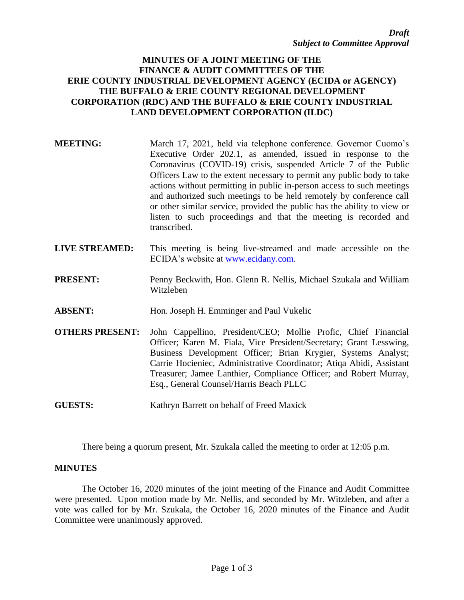# **MINUTES OF A JOINT MEETING OF THE FINANCE & AUDIT COMMITTEES OF THE ERIE COUNTY INDUSTRIAL DEVELOPMENT AGENCY (ECIDA or AGENCY) THE BUFFALO & ERIE COUNTY REGIONAL DEVELOPMENT CORPORATION (RDC) AND THE BUFFALO & ERIE COUNTY INDUSTRIAL LAND DEVELOPMENT CORPORATION (ILDC)**

- **MEETING:** March 17, 2021, held via telephone conference. Governor Cuomo's Executive Order 202.1, as amended, issued in response to the Coronavirus (COVID-19) crisis, suspended Article 7 of the Public Officers Law to the extent necessary to permit any public body to take actions without permitting in public in-person access to such meetings and authorized such meetings to be held remotely by conference call or other similar service, provided the public has the ability to view or listen to such proceedings and that the meeting is recorded and transcribed.
- **LIVE STREAMED:** This meeting is being live-streamed and made accessible on the ECIDA's website at [www.ecidany.com.](http://www.ecidany.com/)
- **PRESENT:** Penny Beckwith, Hon. Glenn R. Nellis, Michael Szukala and William Witzleben
- **ABSENT:** Hon. Joseph H. Emminger and Paul Vukelic
- **OTHERS PRESENT:** John Cappellino, President/CEO; Mollie Profic, Chief Financial Officer; Karen M. Fiala, Vice President/Secretary; Grant Lesswing, Business Development Officer; Brian Krygier, Systems Analyst; Carrie Hocieniec, Administrative Coordinator; Atiqa Abidi, Assistant Treasurer; Jamee Lanthier, Compliance Officer; and Robert Murray, Esq., General Counsel/Harris Beach PLLC
- **GUESTS:** Kathryn Barrett on behalf of Freed Maxick

There being a quorum present, Mr. Szukala called the meeting to order at 12:05 p.m.

# **MINUTES**

The October 16, 2020 minutes of the joint meeting of the Finance and Audit Committee were presented. Upon motion made by Mr. Nellis, and seconded by Mr. Witzleben, and after a vote was called for by Mr. Szukala, the October 16, 2020 minutes of the Finance and Audit Committee were unanimously approved.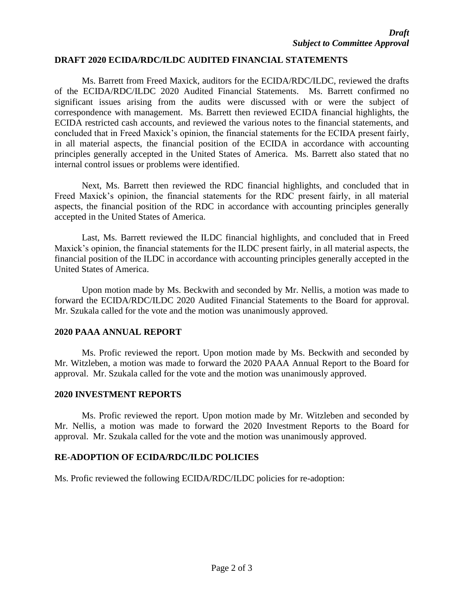### **DRAFT 2020 ECIDA/RDC/ILDC AUDITED FINANCIAL STATEMENTS**

Ms. Barrett from Freed Maxick, auditors for the ECIDA/RDC/ILDC, reviewed the drafts of the ECIDA/RDC/ILDC 2020 Audited Financial Statements. Ms. Barrett confirmed no significant issues arising from the audits were discussed with or were the subject of correspondence with management. Ms. Barrett then reviewed ECIDA financial highlights, the ECIDA restricted cash accounts, and reviewed the various notes to the financial statements, and concluded that in Freed Maxick's opinion, the financial statements for the ECIDA present fairly, in all material aspects, the financial position of the ECIDA in accordance with accounting principles generally accepted in the United States of America. Ms. Barrett also stated that no internal control issues or problems were identified.

Next, Ms. Barrett then reviewed the RDC financial highlights, and concluded that in Freed Maxick's opinion, the financial statements for the RDC present fairly, in all material aspects, the financial position of the RDC in accordance with accounting principles generally accepted in the United States of America.

Last, Ms. Barrett reviewed the ILDC financial highlights, and concluded that in Freed Maxick's opinion, the financial statements for the ILDC present fairly, in all material aspects, the financial position of the ILDC in accordance with accounting principles generally accepted in the United States of America.

Upon motion made by Ms. Beckwith and seconded by Mr. Nellis, a motion was made to forward the ECIDA/RDC/ILDC 2020 Audited Financial Statements to the Board for approval. Mr. Szukala called for the vote and the motion was unanimously approved.

#### **2020 PAAA ANNUAL REPORT**

Ms. Profic reviewed the report. Upon motion made by Ms. Beckwith and seconded by Mr. Witzleben, a motion was made to forward the 2020 PAAA Annual Report to the Board for approval. Mr. Szukala called for the vote and the motion was unanimously approved.

#### **2020 INVESTMENT REPORTS**

Ms. Profic reviewed the report. Upon motion made by Mr. Witzleben and seconded by Mr. Nellis, a motion was made to forward the 2020 Investment Reports to the Board for approval. Mr. Szukala called for the vote and the motion was unanimously approved.

# **RE-ADOPTION OF ECIDA/RDC/ILDC POLICIES**

Ms. Profic reviewed the following ECIDA/RDC/ILDC policies for re-adoption: